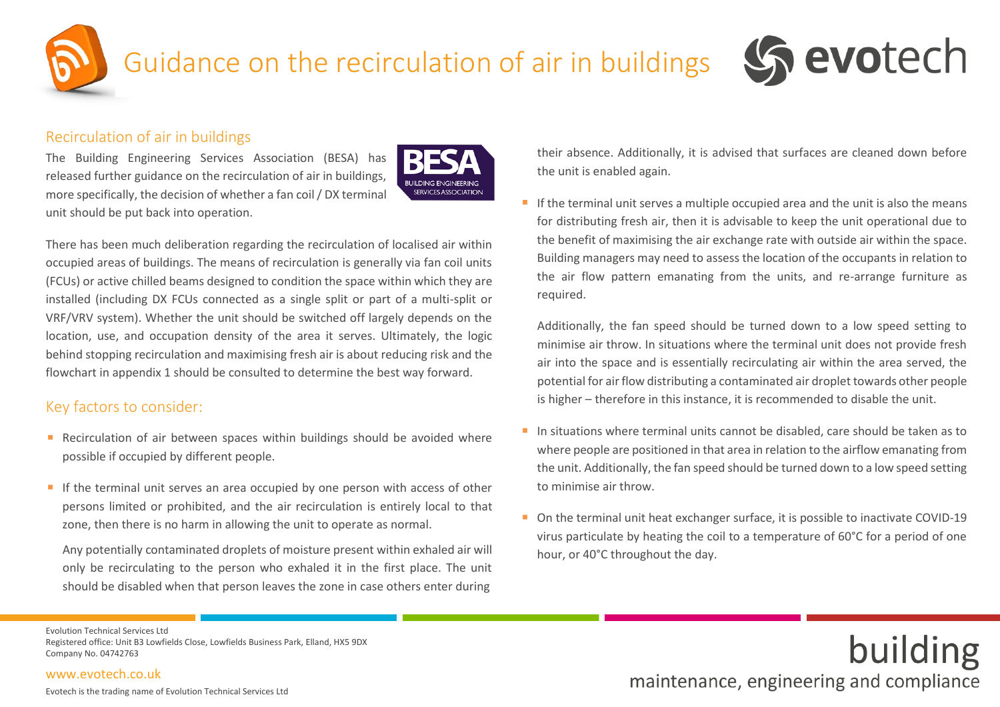# Guidance on the recirculation of air in buildings Guidance on the recirculation of air in buildings



building

## Recirculation of air in buildings

The Building Engineering Services Association (BESA) has released further guidance on the recirculation of air in buildings, more specifically, the decision of whether a fan coil / DX terminal unit should be put back into operation.



There has been much deliberation regarding the recirculation of localised air within occupied areas of buildings. The means of recirculation is generally via fan coil units (FCUs) or active chilled beams designed to condition the space within which they are installed (including DX FCUs connected as a single split or part of a multi-split or VRF/VRV system). Whether the unit should be switched off largely depends on the location, use, and occupation density of the area it serves. Ultimately, the logic behind stopping recirculation and maximising fresh air is about reducing risk and the flowchart in appendix 1 should be consulted to determine the best way forward.

### Key factors to consider:

- Recirculation of air between spaces within buildings should be avoided where possible if occupied by different people.
- **If the terminal unit serves an area occupied by one person with access of other** persons limited or prohibited, and the air recirculation is entirely local to that zone, then there is no harm in allowing the unit to operate as normal.

Any potentially contaminated droplets of moisture present within exhaled air will only be recirculating to the person who exhaled it in the first place. The unit should be disabled when that person leaves the zone in case others enter during

their absence. Additionally, it is advised that surfaces are cleaned down before the unit is enabled again.

 $\blacksquare$  If the terminal unit serves a multiple occupied area and the unit is also the means for distributing fresh air, then it is advisable to keep the unit operational due to the benefit of maximising the air exchange rate with outside air within the space. Building managers may need to assess the location of the occupants in relation to the air flow pattern emanating from the units, and re-arrange furniture as required.

Additionally, the fan speed should be turned down to a low speed setting to minimise air throw. In situations where the terminal unit does not provide fresh air into the space and is essentially recirculating air within the area served, the potential for air flow distributing a contaminated air droplet towards other people is higher – therefore in this instance, it is recommended to disable the unit.

- In situations where terminal units cannot be disabled, care should be taken as to where people are positioned in that area in relation to the airflow emanating from the unit. Additionally, the fan speed should be turned down to a low speed setting to minimise air throw.
- On the terminal unit heat exchanger surface, it is possible to inactivate COVID-19 virus particulate by heating the coil to a temperature of 60°C for a period of one hour, or 40°C throughout the day.

maintenance, engineering and compliance

Evolution Technical Services Ltd Registered office: Unit B3 Lowfields Close, Lowfields Business Park, Elland, HX5 9DX Company No. 04742763

#### [www.evotech.co.uk](http://www.evotech.co.uk/)

Evotech is the trading name of Evolution Technical Services Ltd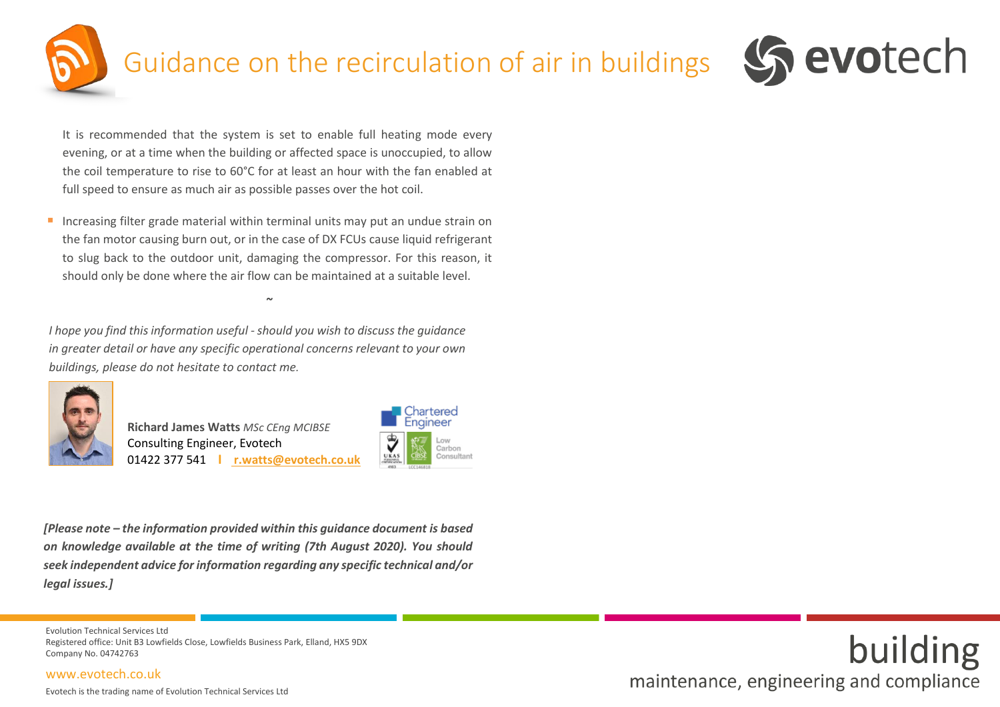



It is recommended that the system is set to enable full heating mode every evening, or at a time when the building or affected space is unoccupied, to allow the coil temperature to rise to 60°C for at least an hour with the fan enabled at full speed to ensure as much air as possible passes over the hot coil.

■ Increasing filter grade material within terminal units may put an undue strain on the fan motor causing burn out, or in the case of DX FCUs cause liquid refrigerant to slug back to the outdoor unit, damaging the compressor. For this reason, it should only be done where the air flow can be maintained at a suitable level.

*~*

*I hope you find this information useful -should you wish to discuss the guidance in greater detail or have any specific operational concerns relevant to your own buildings, please do not hesitate to contact me.*



**Richard James Watts** *MSc CEng MCIBSE* Consulting Engineer, Evotech 01422 377 541 **I [r.watts@evotech.co.uk](mailto:r.watts@evotech.co.uk)**



*[Please note – the information provided within this guidance document is based on knowledge available at the time of writing (7th August 2020). You should seek independent advice for information regarding any specific technical and/or legal issues.]*

Evolution Technical Services Ltd Registered office: Unit B3 Lowfields Close, Lowfields Business Park, Elland, HX5 9DX Company No. 04742763

[www.evotech.co.uk](http://www.evotech.co.uk/)

Evotech is the trading name of Evolution Technical Services Ltd

# building maintenance, engineering and compliance